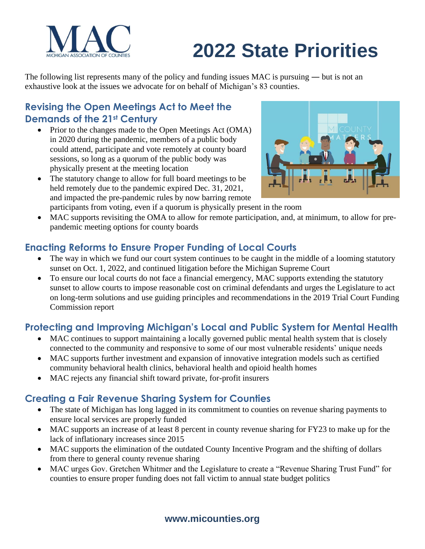

# **2022 State Priorities**

The following list represents many of the policy and funding issues MAC is pursuing — but is not an exhaustive look at the issues we advocate for on behalf of Michigan's 83 counties.

#### **Revising the Open Meetings Act to Meet the Demands of the 21st Century**

- Prior to the changes made to the Open Meetings Act (OMA) in 2020 during the pandemic, members of a public body could attend, participate and vote remotely at county board sessions, so long as a quorum of the public body was physically present at the meeting location
- The statutory change to allow for full board meetings to be held remotely due to the pandemic expired Dec. 31, 2021, and impacted the pre-pandemic rules by now barring remote



- participants from voting, even if a quorum is physically present in the room
- MAC supports revisiting the OMA to allow for remote participation, and, at minimum, to allow for prepandemic meeting options for county boards

#### **Enacting Reforms to Ensure Proper Funding of Local Courts**

- The way in which we fund our court system continues to be caught in the middle of a looming statutory sunset on Oct. 1, 2022, and continued litigation before the Michigan Supreme Court
- To ensure our local courts do not face a financial emergency, MAC supports extending the statutory sunset to allow courts to impose reasonable cost on criminal defendants and urges the Legislature to act on long-term solutions and use guiding principles and recommendations in the 2019 Trial Court Funding Commission report

### **Protecting and Improving Michigan's Local and Public System for Mental Health**

- MAC continues to support maintaining a locally governed public mental health system that is closely connected to the community and responsive to some of our most vulnerable residents' unique needs
- MAC supports further investment and expansion of innovative integration models such as certified community behavioral health clinics, behavioral health and opioid health homes
- MAC rejects any financial shift toward private, for-profit insurers

#### **Creating a Fair Revenue Sharing System for Counties**

- The state of Michigan has long lagged in its commitment to counties on revenue sharing payments to ensure local services are properly funded
- MAC supports an increase of at least 8 percent in county revenue sharing for FY23 to make up for the lack of inflationary increases since 2015
- MAC supports the elimination of the outdated County Incentive Program and the shifting of dollars from there to general county revenue sharing
- MAC urges Gov. Gretchen Whitmer and the Legislature to create a "Revenue Sharing Trust Fund" for counties to ensure proper funding does not fall victim to annual state budget politics